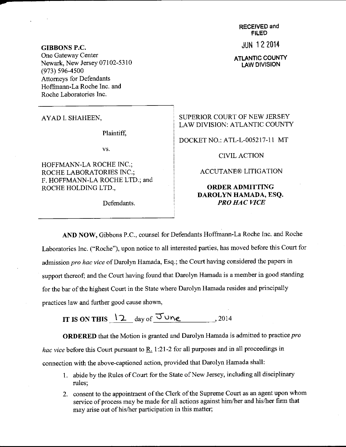RECEIVED and FILED

JUN 12 2014

ATLANTIC COUNTY LAW DIVISION

GIBBONS P.C. One Gateway Center Newark, New Jersey 07102-5310 (973) s96-4s00 Attomeys for Defendants Hoffrnann-La Roche Inc. and Roche Laboratories Inc.

AYAD I. SHAHEEN,

Plaintiff.

vs.

HOFFMANN-LA ROCHE INC.; ROCHE LABORATORIES INC.; F. HOFFMANN-LA ROCHE LTD.; and ROCHE HOLDING LTD.,

Defendants.

SUPERIOR COURT OF NEW JERSEY LAW DIVISION: ATLANTIC COUNTY

DOCKET NO.: ATL-L-005217-11 MT

CIVILACTION

ACCUTANE@ LITIGATION

## ORDERADMITTING DAROLYN HAMADA, ESQ. PRO HAC VICE

AND NOW, Gibbons P.C., counsel for Defendants Hoffrnann-La Roche Inc. and Roche Laboratories Inc. ("Roche"), upon notice to all interested parties, has moved before this Court for admission pro hac vice of Darolyn Hamada, Esq.; the Court having considered the papers in support thereof; and the Court having found that Darolyn Hamada is a member in good standing for the bar of the highest court in the State where Darolyn Hamada resides and principally practices law and further good cause shown,

IT IS ON THIS  $\frac{12}{2}$  day of  $\frac{7u}{2}$ , 2014

ORDERED that the Motion is granted and Darolyn Hamada is admitted to practice pro hac vice before this Court pursuant to R. 1:21-2 for all purposes and in all proceedings in connection with the above-captioned action, provided that Darolyr Hamada shall:

- 1. abide by the Rules of Court for the State of New Jersey, including all disciplinary rules;
- 2. consent to the appointment of the Clerk of the Supreme Court as an agent upon whom service of process may be made for all actions against him/her and his/her firm that may arise out of his/her participation in this matter;